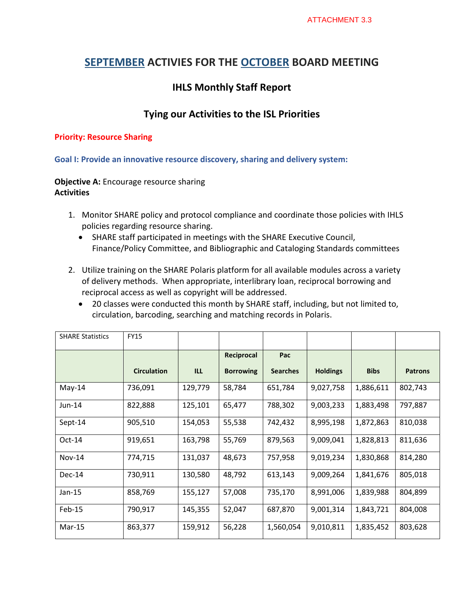## **SEPTEMBER ACTIVIES FOR THE OCTOBER BOARD MEETING**

# **IHLS Monthly Staff Report**

### **Tying our Activities to the ISL Priorities**

#### **Priority: Resource Sharing**

**Goal I: Provide an innovative resource discovery, sharing and delivery system:** 

**Objective A:** Encourage resource sharing **Activities**

- 1. Monitor SHARE policy and protocol compliance and coordinate those policies with IHLS policies regarding resource sharing.
	- SHARE staff participated in meetings with the SHARE Executive Council, Finance/Policy Committee, and Bibliographic and Cataloging Standards committees
- 2. Utilize training on the SHARE Polaris platform for all available modules across a variety of delivery methods. When appropriate, interlibrary loan, reciprocal borrowing and reciprocal access as well as copyright will be addressed.
	- 20 classes were conducted this month by SHARE staff, including, but not limited to, circulation, barcoding, searching and matching records in Polaris.

| <b>SHARE Statistics</b> | <b>FY15</b>        |         |                  |                 |                 |             |                |
|-------------------------|--------------------|---------|------------------|-----------------|-----------------|-------------|----------------|
|                         |                    |         | Reciprocal       | Pac             |                 |             |                |
|                         | <b>Circulation</b> | ILL     | <b>Borrowing</b> | <b>Searches</b> | <b>Holdings</b> | <b>Bibs</b> | <b>Patrons</b> |
| May-14                  | 736,091            | 129,779 | 58,784           | 651,784         | 9,027,758       | 1,886,611   | 802,743        |
| $Jun-14$                | 822,888            | 125,101 | 65,477           | 788,302         | 9,003,233       | 1,883,498   | 797,887        |
| Sept-14                 | 905,510            | 154,053 | 55,538           | 742,432         | 8,995,198       | 1,872,863   | 810,038        |
| $Oct-14$                | 919,651            | 163,798 | 55,769           | 879,563         | 9,009,041       | 1,828,813   | 811,636        |
| $Nov-14$                | 774,715            | 131,037 | 48,673           | 757,958         | 9,019,234       | 1,830,868   | 814,280        |
| $Dec-14$                | 730,911            | 130,580 | 48,792           | 613,143         | 9,009,264       | 1,841,676   | 805,018        |
| $Jan-15$                | 858,769            | 155,127 | 57,008           | 735,170         | 8,991,006       | 1,839,988   | 804,899        |
| Feb-15                  | 790,917            | 145,355 | 52,047           | 687,870         | 9,001,314       | 1,843,721   | 804,008        |
| $Mar-15$                | 863,377            | 159,912 | 56,228           | 1,560,054       | 9,010,811       | 1,835,452   | 803,628        |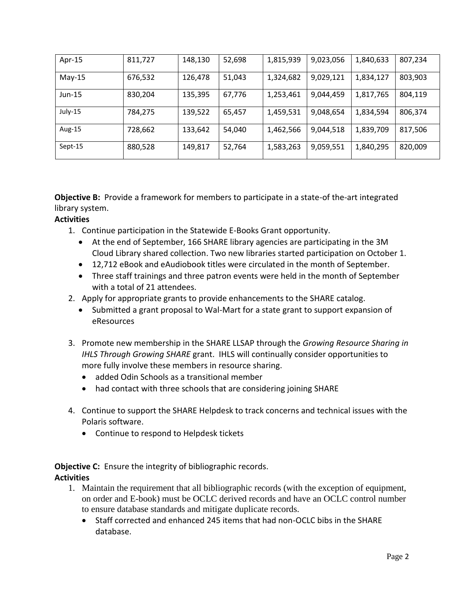| Apr-15   | 811,727 | 148,130 | 52,698 | 1,815,939 | 9,023,056 | 1,840,633 | 807,234 |
|----------|---------|---------|--------|-----------|-----------|-----------|---------|
| May-15   | 676,532 | 126,478 | 51,043 | 1,324,682 | 9,029,121 | 1,834,127 | 803,903 |
| $Jun-15$ | 830,204 | 135,395 | 67,776 | 1,253,461 | 9,044,459 | 1,817,765 | 804,119 |
| July-15  | 784,275 | 139,522 | 65,457 | 1,459,531 | 9,048,654 | 1,834,594 | 806,374 |
| Aug-15   | 728,662 | 133,642 | 54,040 | 1,462,566 | 9,044,518 | 1,839,709 | 817,506 |
| Sept-15  | 880,528 | 149,817 | 52,764 | 1,583,263 | 9,059,551 | 1,840,295 | 820,009 |

**Objective B:** Provide a framework for members to participate in a state-of the-art integrated library system.

#### **Activities**

- 1. Continue participation in the Statewide E-Books Grant opportunity.
	- At the end of September, 166 SHARE library agencies are participating in the 3M Cloud Library shared collection. Two new libraries started participation on October 1.
	- 12,712 eBook and eAudiobook titles were circulated in the month of September.
	- Three staff trainings and three patron events were held in the month of September with a total of 21 attendees.
- 2. Apply for appropriate grants to provide enhancements to the SHARE catalog.
	- Submitted a grant proposal to Wal-Mart for a state grant to support expansion of eResources
- 3. Promote new membership in the SHARE LLSAP through the *Growing Resource Sharing in IHLS Through Growing SHARE* grant. IHLS will continually consider opportunities to more fully involve these members in resource sharing.
	- added Odin Schools as a transitional member
	- had contact with three schools that are considering joining SHARE
- 4. Continue to support the SHARE Helpdesk to track concerns and technical issues with the Polaris software.
	- Continue to respond to Helpdesk tickets

**Objective C:** Ensure the integrity of bibliographic records. **Activities**

- 1. Maintain the requirement that all bibliographic records (with the exception of equipment, on order and E-book) must be OCLC derived records and have an OCLC control number to ensure database standards and mitigate duplicate records.
	- Staff corrected and enhanced 245 items that had non-OCLC bibs in the SHARE database.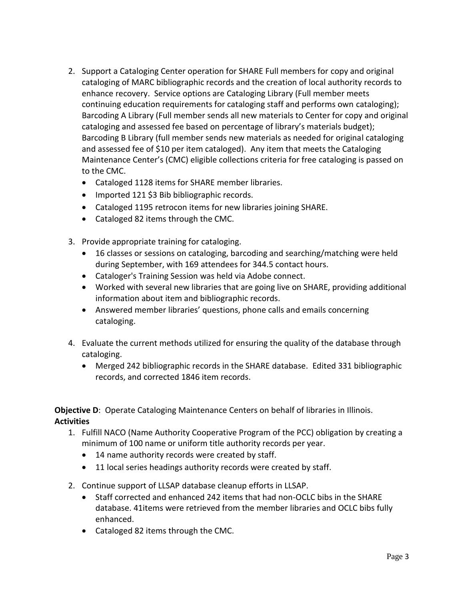- 2. Support a Cataloging Center operation for SHARE Full members for copy and original cataloging of MARC bibliographic records and the creation of local authority records to enhance recovery. Service options are Cataloging Library (Full member meets continuing education requirements for cataloging staff and performs own cataloging); Barcoding A Library (Full member sends all new materials to Center for copy and original cataloging and assessed fee based on percentage of library's materials budget); Barcoding B Library (full member sends new materials as needed for original cataloging and assessed fee of \$10 per item cataloged). Any item that meets the Cataloging Maintenance Center's (CMC) eligible collections criteria for free cataloging is passed on to the CMC.
	- Cataloged 1128 items for SHARE member libraries.
	- Imported 121 \$3 Bib bibliographic records.
	- Cataloged 1195 retrocon items for new libraries joining SHARE.
	- Cataloged 82 items through the CMC.
- 3. Provide appropriate training for cataloging.
	- 16 classes or sessions on cataloging, barcoding and searching/matching were held during September, with 169 attendees for 344.5 contact hours.
	- Cataloger's Training Session was held via Adobe connect.
	- Worked with several new libraries that are going live on SHARE, providing additional information about item and bibliographic records.
	- Answered member libraries' questions, phone calls and emails concerning cataloging.
- 4. Evaluate the current methods utilized for ensuring the quality of the database through cataloging.
	- Merged 242 bibliographic records in the SHARE database. Edited 331 bibliographic records, and corrected 1846 item records.

**Objective D:** Operate Cataloging Maintenance Centers on behalf of libraries in Illinois. **Activities**

- 1. Fulfill NACO (Name Authority Cooperative Program of the PCC) obligation by creating a minimum of 100 name or uniform title authority records per year.
	- 14 name authority records were created by staff.
	- 11 local series headings authority records were created by staff.
- 2. Continue support of LLSAP database cleanup efforts in LLSAP.
	- Staff corrected and enhanced 242 items that had non-OCLC bibs in the SHARE database. 41items were retrieved from the member libraries and OCLC bibs fully enhanced.
	- Cataloged 82 items through the CMC.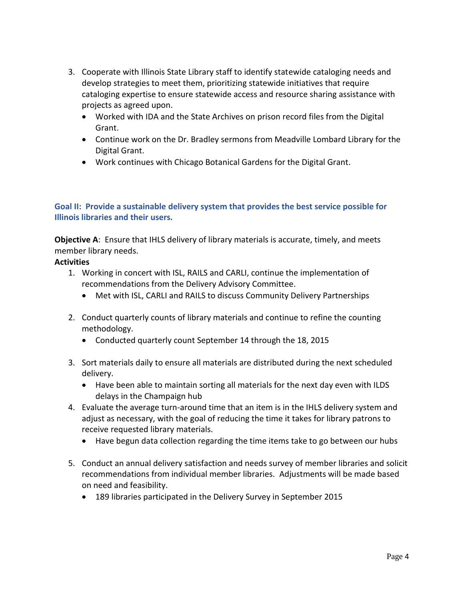- 3. Cooperate with Illinois State Library staff to identify statewide cataloging needs and develop strategies to meet them, prioritizing statewide initiatives that require cataloging expertise to ensure statewide access and resource sharing assistance with projects as agreed upon.
	- Worked with IDA and the State Archives on prison record files from the Digital Grant.
	- Continue work on the Dr. Bradley sermons from Meadville Lombard Library for the Digital Grant.
	- Work continues with Chicago Botanical Gardens for the Digital Grant.

### **Goal II: Provide a sustainable delivery system that provides the best service possible for Illinois libraries and their users.**

**Objective A:** Ensure that IHLS delivery of library materials is accurate, timely, and meets member library needs.

#### **Activities**

- 1. Working in concert with ISL, RAILS and CARLI, continue the implementation of recommendations from the Delivery Advisory Committee.
	- Met with ISL, CARLI and RAILS to discuss Community Delivery Partnerships
- 2. Conduct quarterly counts of library materials and continue to refine the counting methodology.
	- Conducted quarterly count September 14 through the 18, 2015
- 3. Sort materials daily to ensure all materials are distributed during the next scheduled delivery.
	- Have been able to maintain sorting all materials for the next day even with ILDS delays in the Champaign hub
- 4. Evaluate the average turn-around time that an item is in the IHLS delivery system and adjust as necessary, with the goal of reducing the time it takes for library patrons to receive requested library materials.
	- Have begun data collection regarding the time items take to go between our hubs
- 5. Conduct an annual delivery satisfaction and needs survey of member libraries and solicit recommendations from individual member libraries. Adjustments will be made based on need and feasibility.
	- 189 libraries participated in the Delivery Survey in September 2015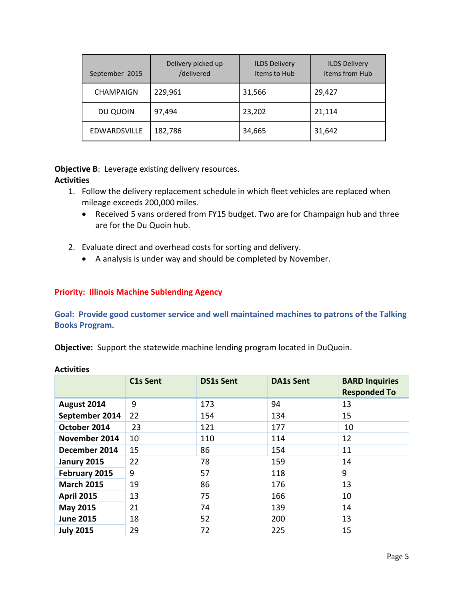| September 2015   | Delivery picked up<br>/delivered | <b>ILDS Delivery</b><br>Items to Hub | <b>ILDS Delivery</b><br>Items from Hub |
|------------------|----------------------------------|--------------------------------------|----------------------------------------|
| <b>CHAMPAIGN</b> | 229,961                          | 31,566                               | 29,427                                 |
| DU QUOIN         | 97,494                           | 23,202                               | 21,114                                 |
| EDWARDSVILLE     | 182,786                          | 34,665                               | 31,642                                 |

**Objective B:** Leverage existing delivery resources.

### **Activities**

- 1. Follow the delivery replacement schedule in which fleet vehicles are replaced when mileage exceeds 200,000 miles.
	- Received 5 vans ordered from FY15 budget. Two are for Champaign hub and three are for the Du Quoin hub.
- 2. Evaluate direct and overhead costs for sorting and delivery.
	- A analysis is under way and should be completed by November.

### **Priority: Illinois Machine Sublending Agency**

**Goal: Provide good customer service and well maintained machines to patrons of the Talking Books Program.**

**Objective:** Support the statewide machine lending program located in DuQuoin.

|                   | C1s Sent | <b>DS1s Sent</b> | <b>DA1s Sent</b> | <b>BARD Inquiries</b><br><b>Responded To</b> |
|-------------------|----------|------------------|------------------|----------------------------------------------|
| August 2014       | 9        | 173              | 94               | 13                                           |
| September 2014    | 22       | 154              | 134              | 15                                           |
| October 2014      | 23       | 121              | 177              | 10                                           |
| November 2014     | 10       | 110              | 114              | 12                                           |
| December 2014     | 15       | 86               | 154              | 11                                           |
| Janury 2015       | 22       | 78               | 159              | 14                                           |
| February 2015     | 9        | 57               | 118              | 9                                            |
| <b>March 2015</b> | 19       | 86               | 176              | 13                                           |
| <b>April 2015</b> | 13       | 75               | 166              | 10                                           |
| <b>May 2015</b>   | 21       | 74               | 139              | 14                                           |
| <b>June 2015</b>  | 18       | 52               | 200              | 13                                           |
| <b>July 2015</b>  | 29       | 72               | 225              | 15                                           |

### **Activities**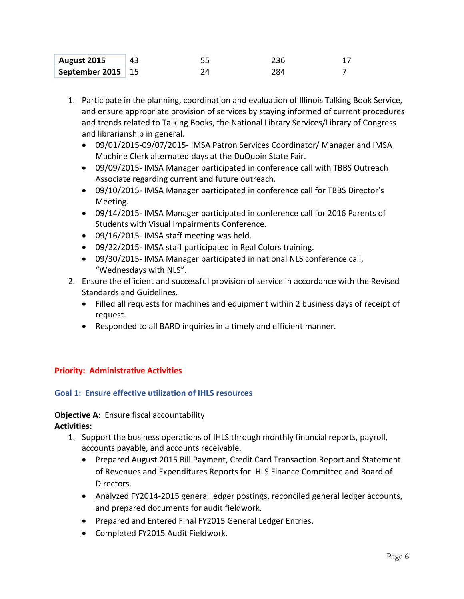| August 2015         |  | 236 |  |
|---------------------|--|-----|--|
| September 2015   15 |  | 284 |  |

- 1. Participate in the planning, coordination and evaluation of Illinois Talking Book Service, and ensure appropriate provision of services by staying informed of current procedures and trends related to Talking Books, the National Library Services/Library of Congress and librarianship in general.
	- 09/01/2015-09/07/2015- IMSA Patron Services Coordinator/ Manager and IMSA Machine Clerk alternated days at the DuQuoin State Fair.
	- 09/09/2015- IMSA Manager participated in conference call with TBBS Outreach Associate regarding current and future outreach.
	- 09/10/2015- IMSA Manager participated in conference call for TBBS Director's Meeting.
	- 09/14/2015- IMSA Manager participated in conference call for 2016 Parents of Students with Visual Impairments Conference.
	- 09/16/2015- IMSA staff meeting was held.
	- 09/22/2015- IMSA staff participated in Real Colors training.
	- 09/30/2015- IMSA Manager participated in national NLS conference call, "Wednesdays with NLS".
- 2. Ensure the efficient and successful provision of service in accordance with the Revised Standards and Guidelines.
	- Filled all requests for machines and equipment within 2 business days of receipt of request.
	- Responded to all BARD inquiries in a timely and efficient manner.

### **Priority: Administrative Activities**

### **Goal 1: Ensure effective utilization of IHLS resources**

# **Objective A**: Ensure fiscal accountability

**Activities:**

- 1. Support the business operations of IHLS through monthly financial reports, payroll, accounts payable, and accounts receivable.
	- Prepared August 2015 Bill Payment, Credit Card Transaction Report and Statement of Revenues and Expenditures Reports for IHLS Finance Committee and Board of Directors.
	- Analyzed FY2014-2015 general ledger postings, reconciled general ledger accounts, and prepared documents for audit fieldwork.
	- Prepared and Entered Final FY2015 General Ledger Entries.
	- Completed FY2015 Audit Fieldwork.